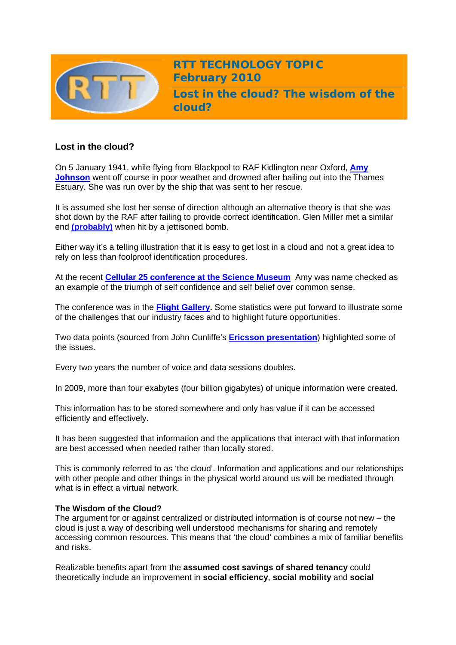

**RTT TECHNOLOGY TOPIC February 2010** 

**Lost in the cloud? The wisdom of the cloud?** 

# **Lost in the cloud?**

On 5 January 1941, while flying from Blackpool to RAF Kidlington near Oxford, **[Amy](http://en.wikipedia.org/wiki/Amy_Johnson)  [Johnson](http://en.wikipedia.org/wiki/Amy_Johnson)** went off course in poor weather and drowned after bailing out into the Thames Estuary. She was run over by the ship that was sent to her rescue.

It is assumed she lost her sense of direction although an alternative theory is that she was shot down by the RAF after failing to provide correct identification. Glen Miller met a similar end **[\(probably\)](http://www.bbc.co.uk/dna/h2g2/A2654822)** when hit by a jettisoned bomb.

Either way it's a telling illustration that it is easy to get lost in a cloud and not a great idea to rely on less than foolproof identification procedures.

At the recent **[Cellular 25 conference at the Science Museum](http://www.cambridgewireless.co.uk/cellular25/)** Amy was name checked as an example of the triumph of self confidence and self belief over common sense.

The conference was in the **[Flight Gallery](http://www.sciencemuseum.org.uk/visitmuseum/galleries/flight.aspx).** Some statistics were put forward to illustrate some of the challenges that our industry faces and to highlight future opportunities.

Two data points (sourced from John Cunliffe's **[Ericsson presentation](http://www.cambridgewireless.co.uk/docs/John%20Cunliffe%20-%20Ericsson%20Ltd%20You%20Tube%20Link.pdf)**) highlighted some of the issues.

Every two years the number of voice and data sessions doubles.

In 2009, more than four exabytes (four billion gigabytes) of unique information were created.

This information has to be stored somewhere and only has value if it can be accessed efficiently and effectively.

It has been suggested that information and the applications that interact with that information are best accessed when needed rather than locally stored.

This is commonly referred to as 'the cloud'. Information and applications and our relationships with other people and other things in the physical world around us will be mediated through what is in effect a virtual network.

## **The Wisdom of the Cloud?**

The argument for or against centralized or distributed information is of course not new – the cloud is just a way of describing well understood mechanisms for sharing and remotely accessing common resources. This means that 'the cloud' combines a mix of familiar benefits and risks.

Realizable benefits apart from the **assumed cost savings of shared tenancy** could theoretically include an improvement in **social efficiency**, **social mobility** and **social**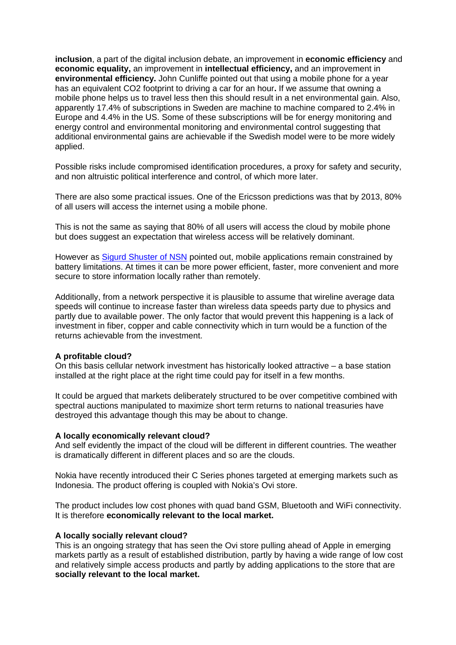**inclusion**, a part of the digital inclusion debate, an improvement in **economic efficiency** and **economic equality,** an improvement in **intellectual efficiency,** and an improvement in **environmental efficiency.** John Cunliffe pointed out that using a mobile phone for a year has an equivalent CO2 footprint to driving a car for an hour**.** If we assume that owning a mobile phone helps us to travel less then this should result in a net environmental gain. Also, apparently 17.4% of subscriptions in Sweden are machine to machine compared to 2.4% in Europe and 4.4% in the US. Some of these subscriptions will be for energy monitoring and energy control and environmental monitoring and environmental control suggesting that additional environmental gains are achievable if the Swedish model were to be more widely applied.

Possible risks include compromised identification procedures, a proxy for safety and security, and non altruistic political interference and control, of which more later.

There are also some practical issues. One of the Ericsson predictions was that by 2013, 80% of all users will access the internet using a mobile phone.

This is not the same as saying that 80% of all users will access the cloud by mobile phone but does suggest an expectation that wireless access will be relatively dominant.

However as [Sigurd Shuster of NSN](http://www.cambridgewireless.co.uk/docs/Sigurd%20Schuster,%20Nokia%20Siemens%20Networks.pdf) pointed out, mobile applications remain constrained by battery limitations. At times it can be more power efficient, faster, more convenient and more secure to store information locally rather than remotely.

Additionally, from a network perspective it is plausible to assume that wireline average data speeds will continue to increase faster than wireless data speeds party due to physics and partly due to available power. The only factor that would prevent this happening is a lack of investment in fiber, copper and cable connectivity which in turn would be a function of the returns achievable from the investment.

### **A profitable cloud?**

On this basis cellular network investment has historically looked attractive – a base station installed at the right place at the right time could pay for itself in a few months.

It could be argued that markets deliberately structured to be over competitive combined with spectral auctions manipulated to maximize short term returns to national treasuries have destroyed this advantage though this may be about to change.

#### **A locally economically relevant cloud?**

And self evidently the impact of the cloud will be different in different countries. The weather is dramatically different in different places and so are the clouds.

Nokia have recently introduced their C Series phones targeted at emerging markets such as Indonesia. The product offering is coupled with Nokia's Ovi store.

The product includes low cost phones with quad band GSM, Bluetooth and WiFi connectivity. It is therefore **economically relevant to the local market.** 

#### **A locally socially relevant cloud?**

This is an ongoing strategy that has seen the Ovi store pulling ahead of Apple in emerging markets partly as a result of established distribution, partly by having a wide range of low cost and relatively simple access products and partly by adding applications to the store that are **socially relevant to the local market.**